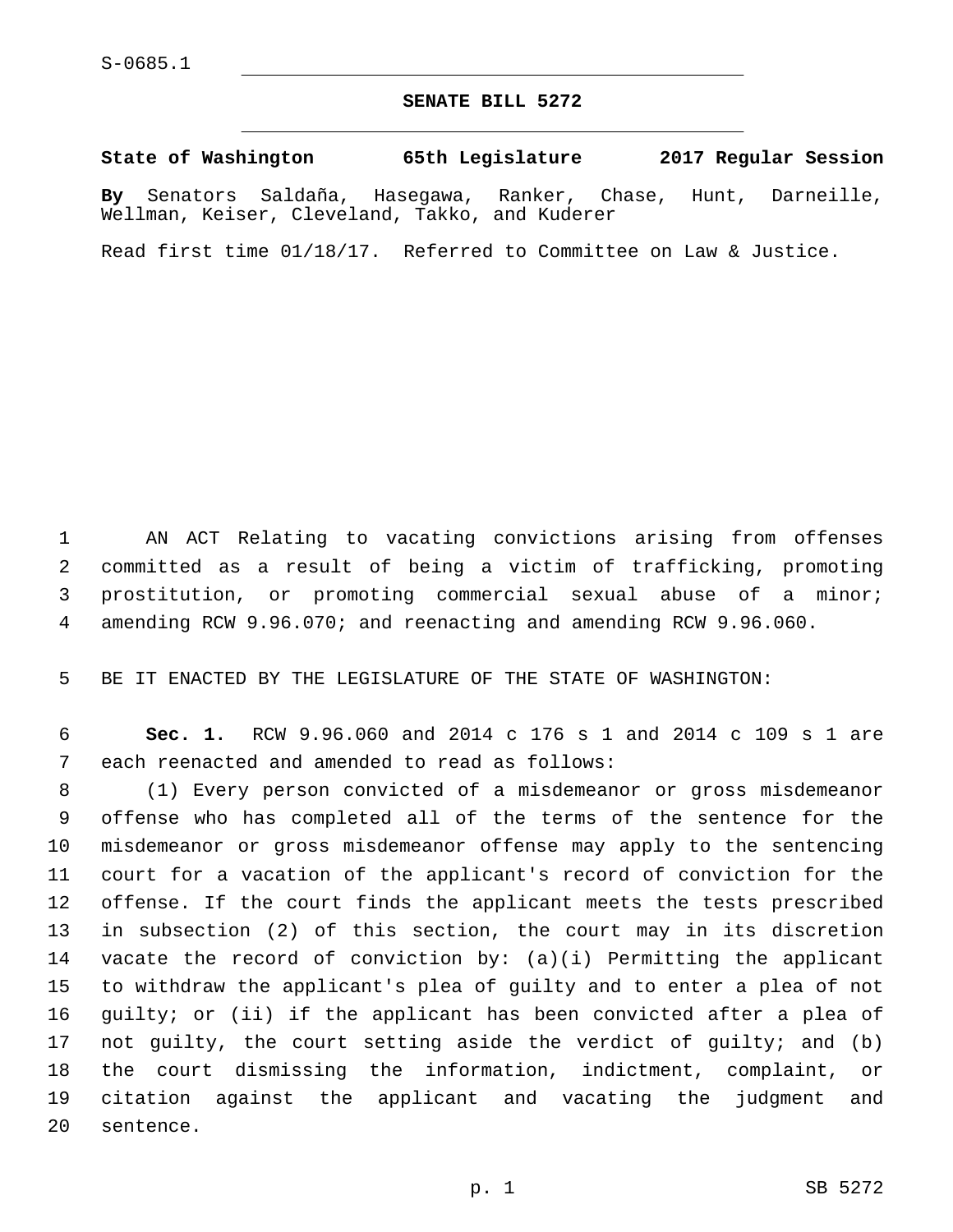## **SENATE BILL 5272**

**State of Washington 65th Legislature 2017 Regular Session**

**By** Senators Saldaña, Hasegawa, Ranker, Chase, Hunt, Darneille, Wellman, Keiser, Cleveland, Takko, and Kuderer

Read first time 01/18/17. Referred to Committee on Law & Justice.

 AN ACT Relating to vacating convictions arising from offenses committed as a result of being a victim of trafficking, promoting prostitution, or promoting commercial sexual abuse of a minor; amending RCW 9.96.070; and reenacting and amending RCW 9.96.060.

BE IT ENACTED BY THE LEGISLATURE OF THE STATE OF WASHINGTON:

 **Sec. 1.** RCW 9.96.060 and 2014 c 176 s 1 and 2014 c 109 s 1 are 7 each reenacted and amended to read as follows:

 (1) Every person convicted of a misdemeanor or gross misdemeanor offense who has completed all of the terms of the sentence for the misdemeanor or gross misdemeanor offense may apply to the sentencing court for a vacation of the applicant's record of conviction for the offense. If the court finds the applicant meets the tests prescribed in subsection (2) of this section, the court may in its discretion vacate the record of conviction by: (a)(i) Permitting the applicant to withdraw the applicant's plea of guilty and to enter a plea of not guilty; or (ii) if the applicant has been convicted after a plea of not guilty, the court setting aside the verdict of guilty; and (b) the court dismissing the information, indictment, complaint, or citation against the applicant and vacating the judgment and 20 sentence.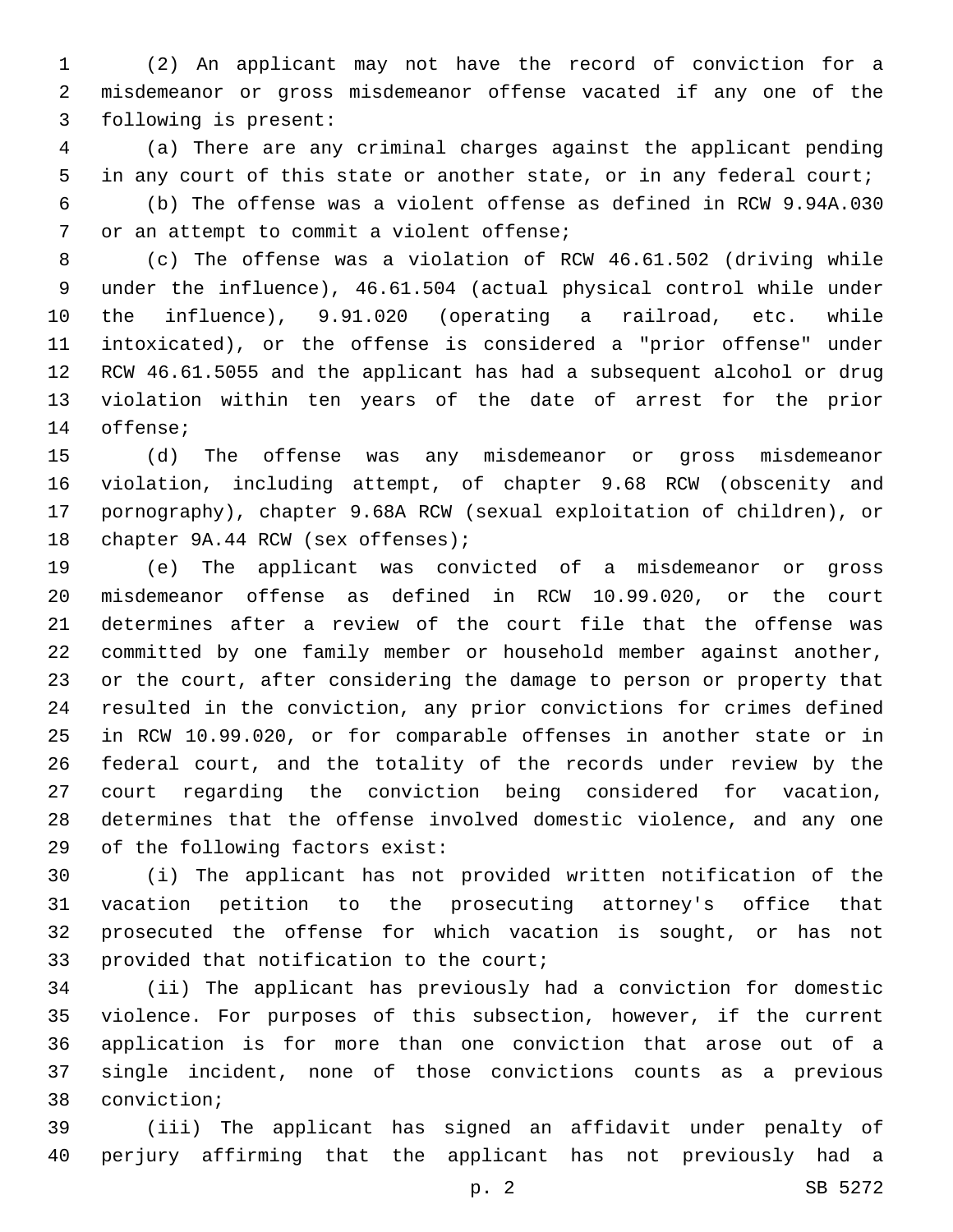(2) An applicant may not have the record of conviction for a misdemeanor or gross misdemeanor offense vacated if any one of the 3 following is present:

 (a) There are any criminal charges against the applicant pending in any court of this state or another state, or in any federal court; (b) The offense was a violent offense as defined in RCW 9.94A.030 7 or an attempt to commit a violent offense;

 (c) The offense was a violation of RCW 46.61.502 (driving while under the influence), 46.61.504 (actual physical control while under the influence), 9.91.020 (operating a railroad, etc. while intoxicated), or the offense is considered a "prior offense" under RCW 46.61.5055 and the applicant has had a subsequent alcohol or drug violation within ten years of the date of arrest for the prior 14 offense;

 (d) The offense was any misdemeanor or gross misdemeanor violation, including attempt, of chapter 9.68 RCW (obscenity and pornography), chapter 9.68A RCW (sexual exploitation of children), or 18 chapter 9A.44 RCW (sex offenses);

 (e) The applicant was convicted of a misdemeanor or gross misdemeanor offense as defined in RCW 10.99.020, or the court determines after a review of the court file that the offense was committed by one family member or household member against another, or the court, after considering the damage to person or property that resulted in the conviction, any prior convictions for crimes defined in RCW 10.99.020, or for comparable offenses in another state or in federal court, and the totality of the records under review by the court regarding the conviction being considered for vacation, determines that the offense involved domestic violence, and any one 29 of the following factors exist:

 (i) The applicant has not provided written notification of the vacation petition to the prosecuting attorney's office that prosecuted the offense for which vacation is sought, or has not 33 provided that notification to the court;

 (ii) The applicant has previously had a conviction for domestic violence. For purposes of this subsection, however, if the current application is for more than one conviction that arose out of a single incident, none of those convictions counts as a previous 38 conviction;

 (iii) The applicant has signed an affidavit under penalty of perjury affirming that the applicant has not previously had a

p. 2 SB 5272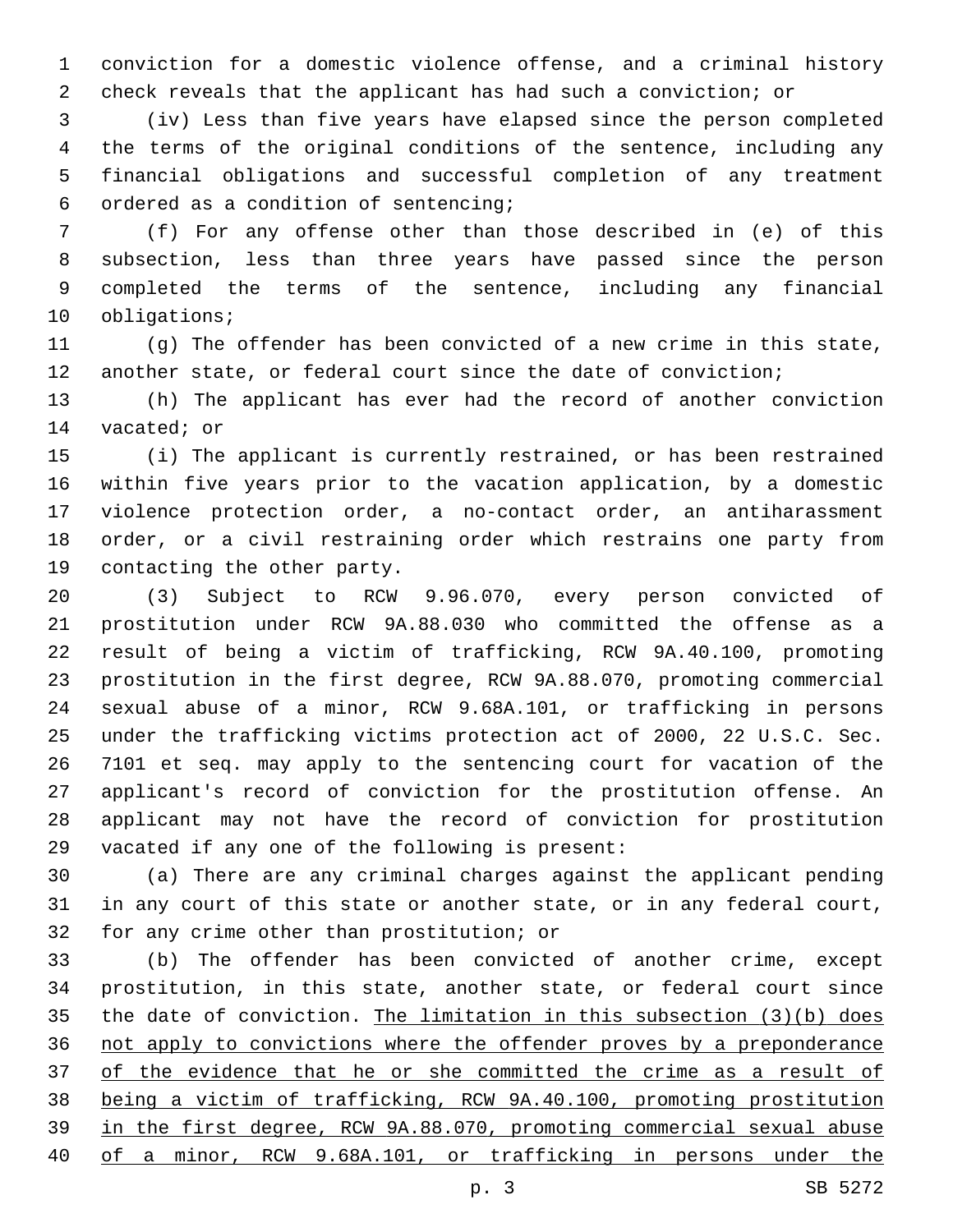conviction for a domestic violence offense, and a criminal history check reveals that the applicant has had such a conviction; or

 (iv) Less than five years have elapsed since the person completed the terms of the original conditions of the sentence, including any financial obligations and successful completion of any treatment ordered as a condition of sentencing;6

 (f) For any offense other than those described in (e) of this subsection, less than three years have passed since the person completed the terms of the sentence, including any financial 10 obligations;

 (g) The offender has been convicted of a new crime in this state, another state, or federal court since the date of conviction;

 (h) The applicant has ever had the record of another conviction 14 vacated; or

 (i) The applicant is currently restrained, or has been restrained within five years prior to the vacation application, by a domestic violence protection order, a no-contact order, an antiharassment order, or a civil restraining order which restrains one party from 19 contacting the other party.

 (3) Subject to RCW 9.96.070, every person convicted of prostitution under RCW 9A.88.030 who committed the offense as a result of being a victim of trafficking, RCW 9A.40.100, promoting prostitution in the first degree, RCW 9A.88.070, promoting commercial sexual abuse of a minor, RCW 9.68A.101, or trafficking in persons under the trafficking victims protection act of 2000, 22 U.S.C. Sec. 7101 et seq. may apply to the sentencing court for vacation of the applicant's record of conviction for the prostitution offense. An applicant may not have the record of conviction for prostitution 29 vacated if any one of the following is present:

 (a) There are any criminal charges against the applicant pending in any court of this state or another state, or in any federal court, 32 for any crime other than prostitution; or

 (b) The offender has been convicted of another crime, except prostitution, in this state, another state, or federal court since the date of conviction. The limitation in this subsection (3)(b) does not apply to convictions where the offender proves by a preponderance 37 of the evidence that he or she committed the crime as a result of being a victim of trafficking, RCW 9A.40.100, promoting prostitution in the first degree, RCW 9A.88.070, promoting commercial sexual abuse of a minor, RCW 9.68A.101, or trafficking in persons under the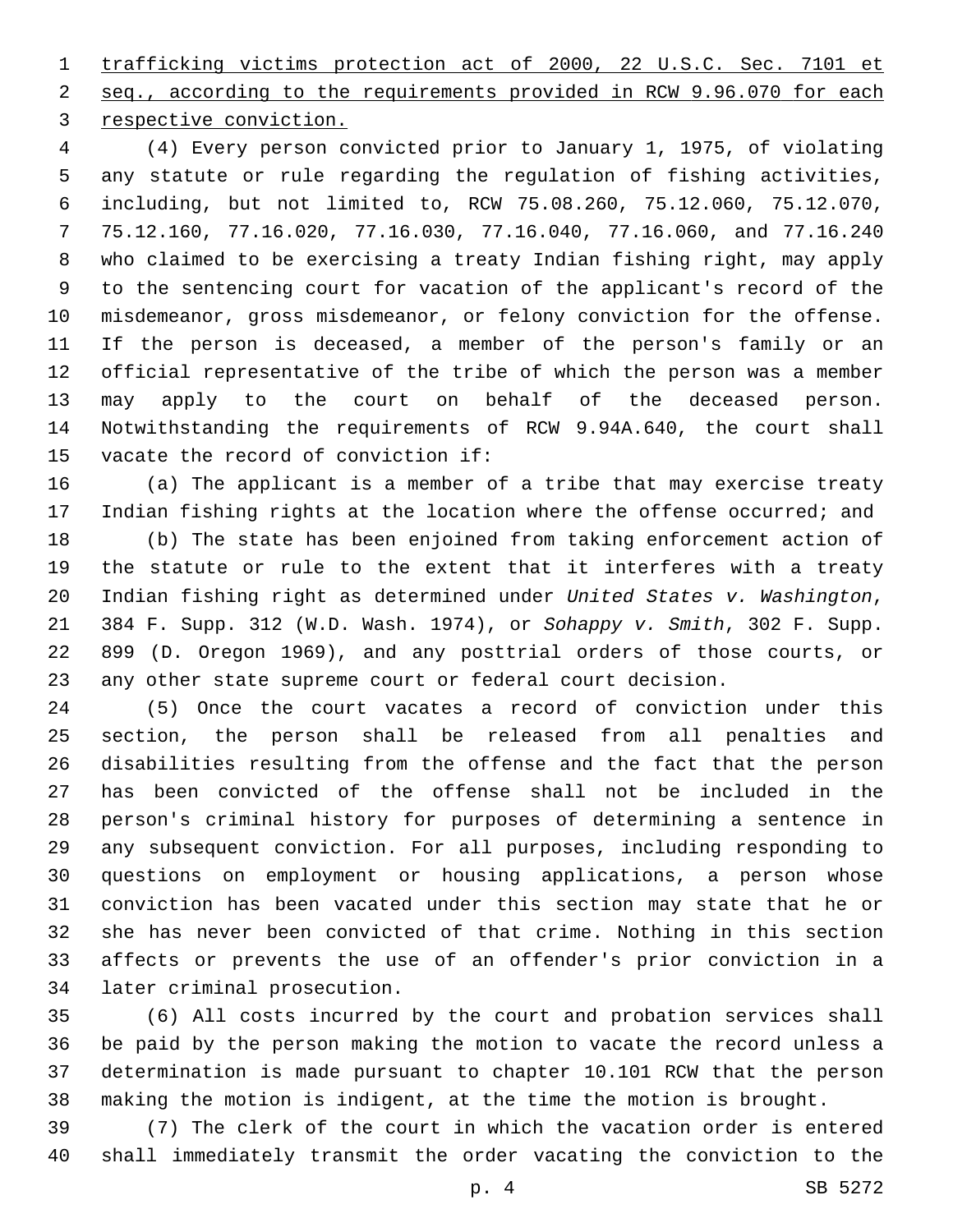trafficking victims protection act of 2000, 22 U.S.C. Sec. 7101 et seq., according to the requirements provided in RCW 9.96.070 for each 3 respective conviction.

 (4) Every person convicted prior to January 1, 1975, of violating any statute or rule regarding the regulation of fishing activities, including, but not limited to, RCW 75.08.260, 75.12.060, 75.12.070, 75.12.160, 77.16.020, 77.16.030, 77.16.040, 77.16.060, and 77.16.240 who claimed to be exercising a treaty Indian fishing right, may apply to the sentencing court for vacation of the applicant's record of the misdemeanor, gross misdemeanor, or felony conviction for the offense. If the person is deceased, a member of the person's family or an official representative of the tribe of which the person was a member may apply to the court on behalf of the deceased person. Notwithstanding the requirements of RCW 9.94A.640, the court shall 15 vacate the record of conviction if:

 (a) The applicant is a member of a tribe that may exercise treaty Indian fishing rights at the location where the offense occurred; and

 (b) The state has been enjoined from taking enforcement action of the statute or rule to the extent that it interferes with a treaty Indian fishing right as determined under *United States v. Washington*, 384 F. Supp. 312 (W.D. Wash. 1974), or *Sohappy v. Smith*, 302 F. Supp. 899 (D. Oregon 1969), and any posttrial orders of those courts, or any other state supreme court or federal court decision.

 (5) Once the court vacates a record of conviction under this section, the person shall be released from all penalties and disabilities resulting from the offense and the fact that the person has been convicted of the offense shall not be included in the person's criminal history for purposes of determining a sentence in any subsequent conviction. For all purposes, including responding to questions on employment or housing applications, a person whose conviction has been vacated under this section may state that he or she has never been convicted of that crime. Nothing in this section affects or prevents the use of an offender's prior conviction in a 34 later criminal prosecution.

 (6) All costs incurred by the court and probation services shall be paid by the person making the motion to vacate the record unless a determination is made pursuant to chapter 10.101 RCW that the person making the motion is indigent, at the time the motion is brought.

 (7) The clerk of the court in which the vacation order is entered shall immediately transmit the order vacating the conviction to the

p. 4 SB 5272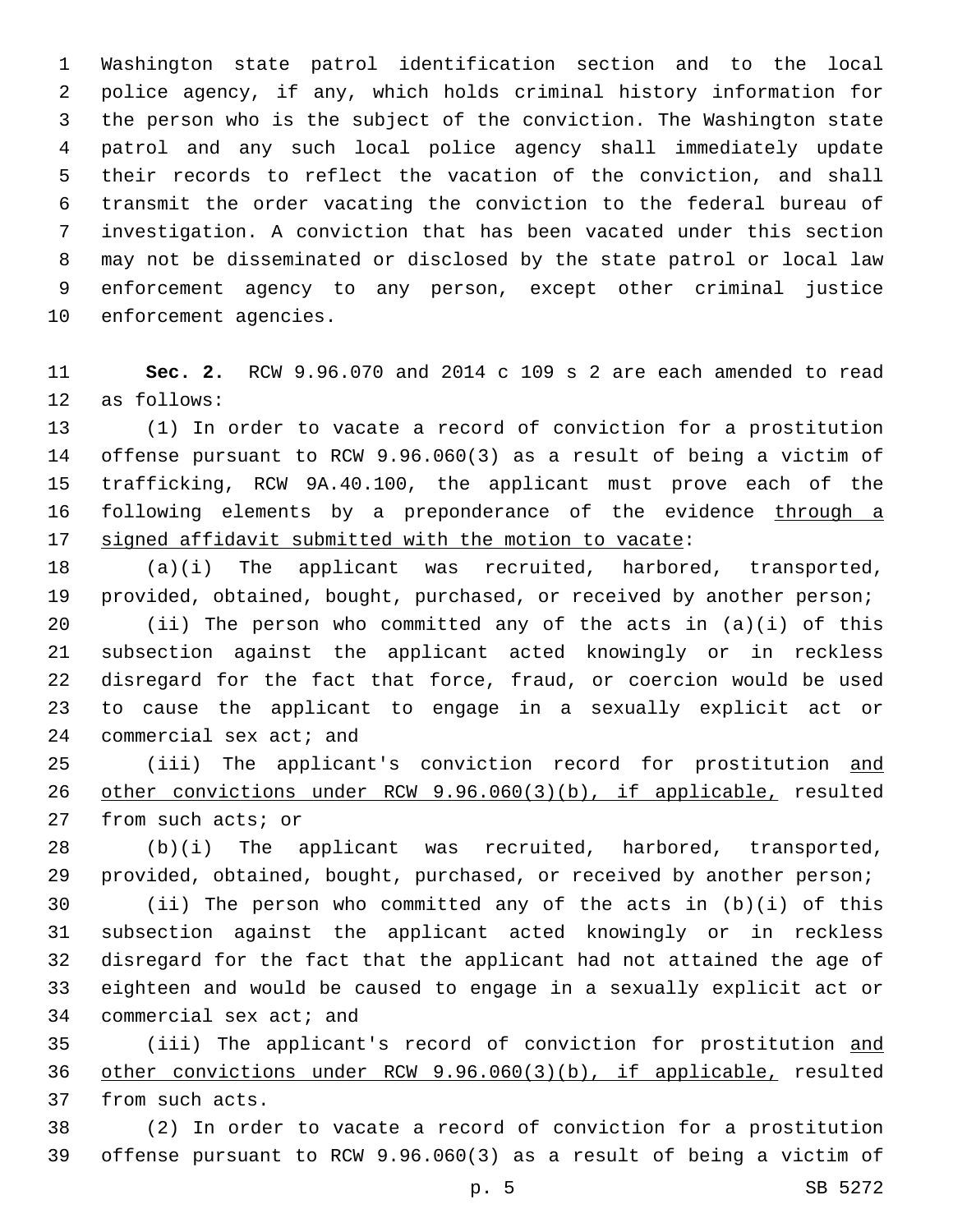Washington state patrol identification section and to the local police agency, if any, which holds criminal history information for the person who is the subject of the conviction. The Washington state patrol and any such local police agency shall immediately update their records to reflect the vacation of the conviction, and shall transmit the order vacating the conviction to the federal bureau of investigation. A conviction that has been vacated under this section may not be disseminated or disclosed by the state patrol or local law enforcement agency to any person, except other criminal justice 10 enforcement agencies.

 **Sec. 2.** RCW 9.96.070 and 2014 c 109 s 2 are each amended to read 12 as follows:

 (1) In order to vacate a record of conviction for a prostitution offense pursuant to RCW 9.96.060(3) as a result of being a victim of trafficking, RCW 9A.40.100, the applicant must prove each of the 16 following elements by a preponderance of the evidence through a signed affidavit submitted with the motion to vacate:

 (a)(i) The applicant was recruited, harbored, transported, provided, obtained, bought, purchased, or received by another person;

 (ii) The person who committed any of the acts in (a)(i) of this subsection against the applicant acted knowingly or in reckless disregard for the fact that force, fraud, or coercion would be used to cause the applicant to engage in a sexually explicit act or 24 commercial sex act; and

25 (iii) The applicant's conviction record for prostitution and other convictions under RCW 9.96.060(3)(b), if applicable, resulted 27 from such acts; or

 (b)(i) The applicant was recruited, harbored, transported, provided, obtained, bought, purchased, or received by another person;

 (ii) The person who committed any of the acts in (b)(i) of this subsection against the applicant acted knowingly or in reckless disregard for the fact that the applicant had not attained the age of eighteen and would be caused to engage in a sexually explicit act or 34 commercial sex act; and

35 (iii) The applicant's record of conviction for prostitution and other convictions under RCW 9.96.060(3)(b), if applicable, resulted 37 from such acts.

 (2) In order to vacate a record of conviction for a prostitution offense pursuant to RCW 9.96.060(3) as a result of being a victim of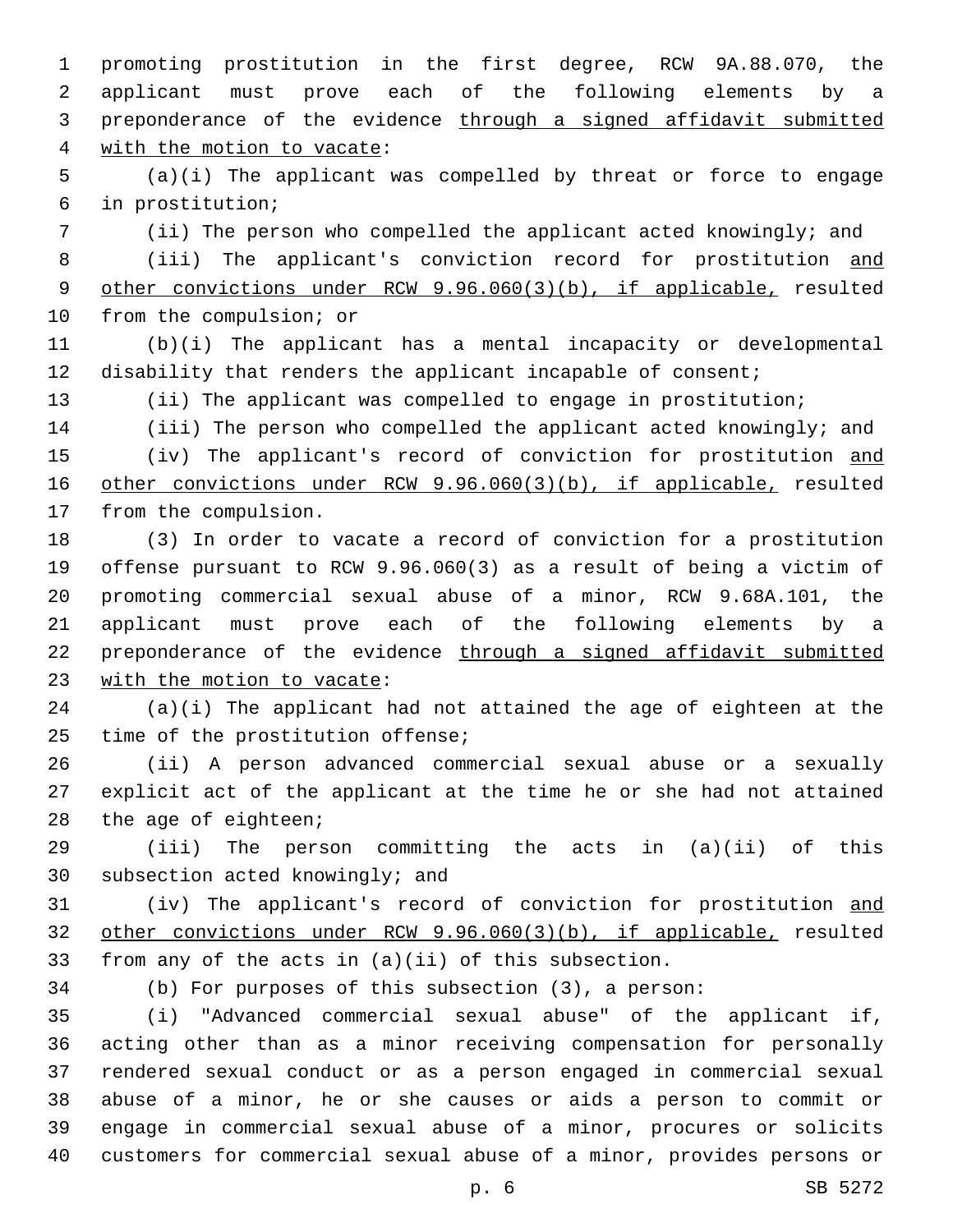promoting prostitution in the first degree, RCW 9A.88.070, the applicant must prove each of the following elements by a 3 preponderance of the evidence through a signed affidavit submitted 4 with the motion to vacate:

 (a)(i) The applicant was compelled by threat or force to engage in prostitution;6

 (ii) The person who compelled the applicant acted knowingly; and 8 (iii) The applicant's conviction record for prostitution and other convictions under RCW 9.96.060(3)(b), if applicable, resulted 10 from the compulsion; or

 (b)(i) The applicant has a mental incapacity or developmental disability that renders the applicant incapable of consent;

(ii) The applicant was compelled to engage in prostitution;

 (iii) The person who compelled the applicant acted knowingly; and (iv) The applicant's record of conviction for prostitution and other convictions under RCW 9.96.060(3)(b), if applicable, resulted 17 from the compulsion.

 (3) In order to vacate a record of conviction for a prostitution offense pursuant to RCW 9.96.060(3) as a result of being a victim of promoting commercial sexual abuse of a minor, RCW 9.68A.101, the applicant must prove each of the following elements by a preponderance of the evidence through a signed affidavit submitted 23 with the motion to vacate:

 (a)(i) The applicant had not attained the age of eighteen at the time of the prostitution offense;

 (ii) A person advanced commercial sexual abuse or a sexually explicit act of the applicant at the time he or she had not attained 28 the age of eighteen;

 (iii) The person committing the acts in (a)(ii) of this 30 subsection acted knowingly; and

 (iv) The applicant's record of conviction for prostitution and other convictions under RCW 9.96.060(3)(b), if applicable, resulted from any of the acts in (a)(ii) of this subsection.

(b) For purposes of this subsection (3), a person:

 (i) "Advanced commercial sexual abuse" of the applicant if, acting other than as a minor receiving compensation for personally rendered sexual conduct or as a person engaged in commercial sexual abuse of a minor, he or she causes or aids a person to commit or engage in commercial sexual abuse of a minor, procures or solicits customers for commercial sexual abuse of a minor, provides persons or

p. 6 SB 5272